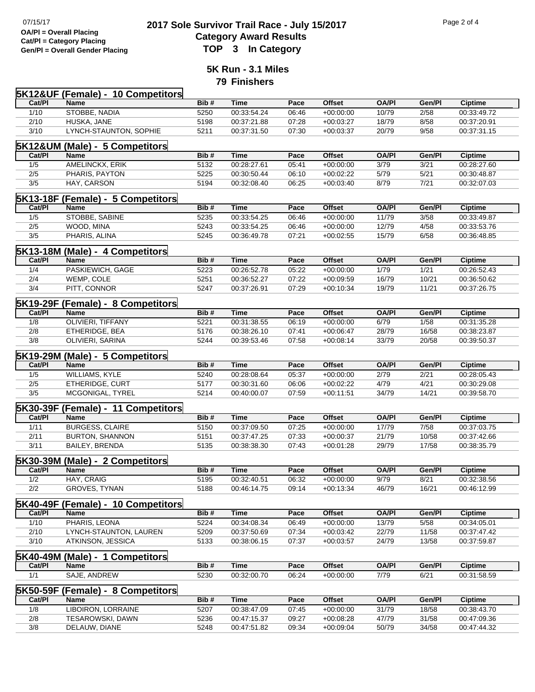## <sup>07/15/17</sup> <sup>07/15/17</sup> **2017 Sole Survivor Trail Race - July 15/2017** Page 2 of 4<br> **2017 Sole Survivor Trail Race - July 15/2017 Category Award Results Gen/Pl = Overall Gender Placing TOP 3 In Category**

**5K Run - 3.1 Miles 79 Finishers**

|          | <b>5K12&amp;UF (Female) - 10 Competitors</b> |              |             |               |                              |              |                 |                               |
|----------|----------------------------------------------|--------------|-------------|---------------|------------------------------|--------------|-----------------|-------------------------------|
| Cat/PI   | <b>Name</b>                                  | Bib#         | <b>Time</b> | Pace          | <b>Offset</b>                | <b>OA/PI</b> | Gen/Pl          | <b>Ciptime</b>                |
| 1/10     | STOBBE, NADIA                                | 5250         | 00:33:54.24 | 06:46         | $+00:00:00$                  | 10/79        | 2/58            | 00:33:49.72                   |
| 2/10     | HUSKA, JANE                                  | 5198         | 00:37:21.88 | 07:28         | $+00:03:27$                  | 18/79        | 8/58            | 00:37:20.91                   |
| 3/10     | LYNCH-STAUNTON, SOPHIE                       | 5211         | 00:37:31.50 | 07:30         | $+00:03:37$                  | 20/79        | 9/58            | 00:37:31.15                   |
|          | 5K12&UM (Male) - 5 Competitors               |              |             |               |                              |              |                 |                               |
| Cat/PI   | <b>Name</b>                                  | Bib#         | <b>Time</b> | Pace          | <b>Offset</b>                | <b>OA/PI</b> | Gen/Pl          | <b>Ciptime</b>                |
| 1/5      | AMELINCKX, ERIK                              | 5132         | 00:28:27.61 | 05:41         | $+00:00:00$                  | 3/79         | 3/21            | 00:28:27.60                   |
| 2/5      | PHARIS, PAYTON                               | 5225         | 00:30:50.44 | 06:10         | $+00:02:22$                  | 5/79         | 5/21            | 00:30:48.87                   |
| 3/5      | HAY, CARSON                                  | 5194         | 00:32:08.40 | 06:25         | $+00:03:40$                  | 8/79         | 7/21            | 00:32:07.03                   |
|          | <b>5K13-18F (Female) - 5 Competitors</b>     |              |             |               |                              |              |                 |                               |
| Cat/PI   | <b>Name</b>                                  | Bib#         | <b>Time</b> | Pace          | <b>Offset</b>                | <b>OA/PI</b> | Gen/Pl          | <b>Ciptime</b>                |
| 1/5      | STOBBE, SABINE                               | 5235         | 00:33:54.25 | 06:46         | $+00:00:00$                  | 11/79        | 3/58            | 00:33:49.87                   |
| 2/5      | WOOD, MINA                                   | 5243         | 00:33:54.25 | 06:46         | $+00:00:00$                  | 12/79        | 4/58            | 00:33:53.76                   |
| 3/5      | PHARIS, ALINA                                | 5245         | 00:36:49.78 | 07:21         | $+00:02:55$                  | 15/79        | 6/58            | 00:36:48.85                   |
|          | <b>5K13-18M (Male) - 4 Competitors</b>       |              |             |               |                              |              |                 |                               |
| Cat/PI   | <b>Name</b>                                  | Bib#         | <b>Time</b> | Pace          | <b>Offset</b>                | <b>OA/PI</b> | Gen/Pl          | <b>Ciptime</b>                |
| 1/4      | PASKIEWICH, GAGE                             | 5223         | 00:26:52.78 | 05:22         | $+00:00:00$                  | 1/79         | 1/21            | 00:26:52.43                   |
| 2/4      | WEMP, COLE                                   | 5251         | 00:36:52.27 | 07:22         | $+00:09:59$                  | 16/79        | 10/21           | 00:36:50.62                   |
| 3/4      | PITT, CONNOR                                 | 5247         | 00:37:26.91 | 07:29         | $+00:10:34$                  | 19/79        | 11/21           | 00:37:26.75                   |
|          | <b>5K19-29F (Female) - 8 Competitors</b>     |              |             |               |                              |              |                 |                               |
| Cat/PI   | <b>Name</b>                                  | Bib#         | <b>Time</b> | Pace          | <b>Offset</b>                | <b>OA/PI</b> | Gen/Pl          | <b>Ciptime</b>                |
| 1/8      | OLIVIERI, TIFFANY                            | 5221         | 00:31:38.55 | 06:19         | $+00:00:00$                  | 6/79         | 1/58            | 00:31:35.28                   |
| 2/8      | ETHERIDGE, BEA                               | 5176         | 00:38:26.10 | 07:41         | $+00:06:47$                  | 28/79        | 16/58           | 00:38:23.87                   |
| 3/8      | OLIVIERI, SARINA                             | 5244         | 00:39:53.46 | 07:58         | $+00:08:14$                  | 33/79        | 20/58           | 00:39:50.37                   |
|          | <b>5K19-29M (Male) - 5 Competitors</b>       |              |             |               |                              |              |                 |                               |
| Cat/PI   | <b>Name</b>                                  | Bib#         | <b>Time</b> | Pace          | <b>Offset</b>                | <b>OA/PI</b> | Gen/Pl          | <b>Ciptime</b>                |
| 1/5      | <b>WILLIAMS, KYLE</b>                        | 5240         | 00:28:08.64 | 05:37         | $+00:00:00$                  | 2/79         | 2/21            | 00:28:05.43                   |
| 2/5      | ETHERIDGE, CURT                              | 5177         | 00:30:31.60 | 06:06         | $+00:02:22$                  | 4/79         | 4/21            | 00:30:29.08                   |
| 3/5      | MCGONIGAL, TYREL                             | 5214         | 00:40:00.07 | 07:59         | $+00:11:51$                  | 34/79        | 14/21           | 00:39:58.70                   |
|          | 5K30-39F (Female) - 11 Competitors           |              |             |               |                              |              |                 |                               |
| Cat/PI   | <b>Name</b>                                  | Bib#         | <b>Time</b> | Pace          | <b>Offset</b>                | <b>OA/PI</b> | Gen/Pl          | <b>Ciptime</b>                |
| 1/11     | <b>BURGESS, CLAIRE</b>                       | 5150         | 00:37:09.50 | 07:25         | $+00:00:00$                  | 17/79        | 7/58            | 00:37:03.75                   |
| 2/11     | <b>BURTON, SHANNON</b>                       | 5151         | 00:37:47.25 | 07:33         | $+00:00:37$                  | 21/79        | 10/58           | 00:37:42.66                   |
| 3/11     | <b>BAILEY, BRENDA</b>                        | 5135         | 00:38:38.30 | 07:43         | $+00:01:28$                  | 29/79        | 17/58           | 00:38:35.79                   |
| 5K30-39M | (Male) - 2 Competitors                       |              |             |               |                              |              |                 |                               |
| Cat/PI   | Name                                         | Bib#         | <b>Time</b> | Pace          | <b>Offset</b>                | <b>OA/PI</b> | Gen/Pl          | Ciptime                       |
| 1/2      | HAY, CRAIG                                   | 5195         | 00:32:40.51 | 06:32         | $+00:00:00$                  | 9/79         | 8/21            | 00:32:38.56                   |
| 2/2      | GROVES, TYNAN                                | 5188         | 00:46:14.75 | 09:14         | $+00:13:34$                  | 46/79        | 16/21           | 00:46:12.99                   |
|          |                                              |              |             |               |                              |              |                 |                               |
| Cat/PI   | 5K40-49F (Female) - 10 Competitors<br>Name   | Bib#         | <b>Time</b> | Pace          | <b>Offset</b>                | <b>OA/PI</b> | Gen/Pl          | <b>Ciptime</b>                |
| 1/10     | PHARIS, LEONA                                | 5224         | 00:34:08.34 | 06:49         | $+00:00:00$                  | 13/79        | 5/58            | 00:34:05.01                   |
| 2/10     | LYNCH-STAUNTON, LAUREN                       | 5209         | 00:37:50.69 | 07:34         | $+00:03:42$                  | 22/79        | 11/58           | 00:37:47.42                   |
| 3/10     | ATKINSON, JESSICA                            | 5133         | 00:38:06.15 | 07:37         | $+00:03:57$                  | 24/79        | 13/58           | 00:37:59.87                   |
|          |                                              |              |             |               |                              |              |                 |                               |
| Cat/PI   | 5K40-49M (Male) - 1 Competitors<br>Name      | Bib#         | <b>Time</b> | Pace          | <b>Offset</b>                | <b>OA/PI</b> | Gen/Pl          | <b>Ciptime</b>                |
| 1/1      | SAJE, ANDREW                                 | 5230         | 00:32:00.70 | 06:24         | $+00:00:00$                  | 7/79         | 6/21            | 00:31:58.59                   |
|          |                                              |              |             |               |                              |              |                 |                               |
| Cat/PI   | 5K50-59F (Female) - 8 Competitors            |              | <b>Time</b> |               |                              | <b>OA/PI</b> |                 |                               |
| 1/8      | Name<br>LIBOIRON, LORRAINE                   | Bib#<br>5207 | 00:38:47.09 | Pace<br>07:45 | <b>Offset</b><br>$+00:00:00$ | 31/79        | Gen/Pl<br>18/58 | <b>Ciptime</b><br>00:38:43.70 |
| 2/8      | TESAROWSKI, DAWN                             | 5236         | 00:47:15.37 | 09:27         | $+00:08:28$                  | 47/79        | 31/58           | 00:47:09.36                   |
| 3/8      | DELAUW, DIANE                                | 5248         | 00:47:51.82 | 09:34         | $+00:09:04$                  | 50/79        | 34/58           | 00:47:44.32                   |
|          |                                              |              |             |               |                              |              |                 |                               |